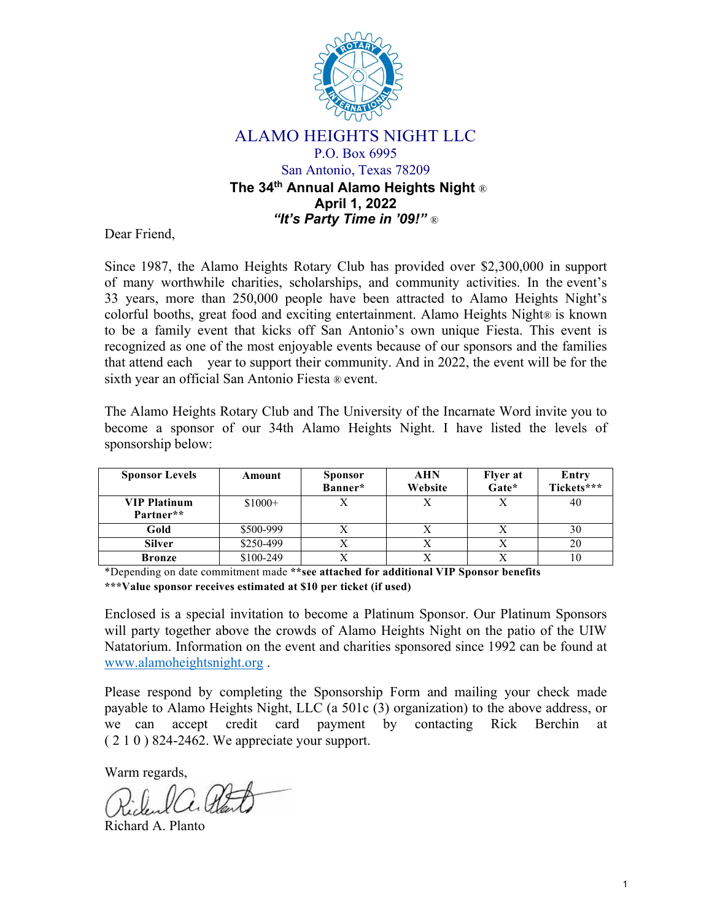

## ALAMO HEIGHTS NIGHT LLC P.O. Box 6995

# San Antonio, Texas 78209 **The 34 th Annual Alamo Heights Night** ® **April 1, 2022** *"It's Party Time in '09!"* ®

Dear Friend,

Since 1987, the Alamo Heights Rotary Club has provided over \$2,300,000 in support of many worthwhile charities, scholarships, and community activities. In the event's 33 years, more than 250,000 people have been attracted to Alamo Heights Night's colorful booths, great food and exciting entertainment. Alamo Heights Night® is known to be a family event that kicks off San Antonio's own unique Fiesta. This event is recognized as one of the most enjoyable events because of our sponsors and the families that attend each year to support their community. And in 2022, the event will be for the sixth year an official San Antonio Fiesta ® event.

The Alamo Heights Rotary Club and The University of the Incarnate Word invite you to become a sponsor of our 34th Alamo Heights Night. I have listed the levels of sponsorship below:

| <b>Sponsor Levels</b>            | Amount    | <b>Sponsor</b><br>Banner* | <b>AHN</b><br>Website | <b>Flyer at</b><br>Gate* | Entry<br>Tickets*** |
|----------------------------------|-----------|---------------------------|-----------------------|--------------------------|---------------------|
| <b>VIP Platinum</b><br>Partner** | $$1000+$  |                           |                       |                          | 40                  |
| Gold                             | \$500-999 |                           |                       |                          | 30                  |
| <b>Silver</b>                    | \$250-499 |                           |                       |                          | 20                  |
| <b>Bronze</b>                    | \$100-249 |                           |                       |                          |                     |

\*Depending on date commitment made **\*\*see attached for additional VIP Sponsor benefits \*\*\*Value sponsor receives estimated at \$10 per ticket (if used)**

Enclosed is a special invitation to become a Platinum Sponsor. Our Platinum Sponsors will party together above the crowds of Alamo Heights Night on the patio of the UIW Natatorium. Information on the event and charities sponsored since 1992 can be found at www.alamoheightsnight.org .

Please respond by completing the Sponsorship Form and mailing your check made payable to Alamo Heights Night, LLC (a 501c (3) organization) to the above address, or we can accept credit card payment by contacting Rick Berchin ( 2 1 0 ) 824-2462. We appreciate your support.

Warm regards,

Richard A. Planto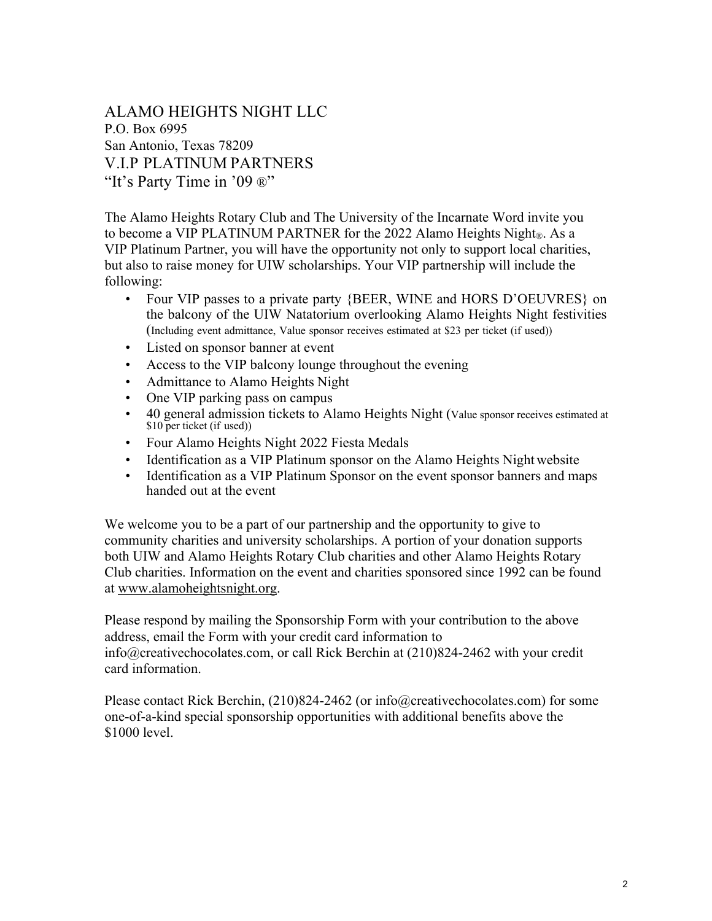ALAMO HEIGHTS NIGHT LLC P.O. Box 6995 San Antonio, Texas 78209 V.I.P PLATINUM PARTNERS "It's Party Time in '09 ®"

The Alamo Heights Rotary Club and The University of the Incarnate Word invite you to become a VIP PLATINUM PARTNER for the 2022 Alamo Heights Night®. As a VIP Platinum Partner, you will have the opportunity not only to support local charities, but also to raise money for UIW scholarships. Your VIP partnership will include the following:

- Four VIP passes to a private party {BEER, WINE and HORS D'OEUVRES} on the balcony of the UIW Natatorium overlooking Alamo Heights Night festivities (Including event admittance, Value sponsor receives estimated at \$23 per ticket (if used))
- Listed on sponsor banner at event
- Access to the VIP balcony lounge throughout the evening
- Admittance to Alamo Heights Night
- One VIP parking pass on campus
- 40 general admission tickets to Alamo Heights Night (Value sponsor receives estimated at \$10 per ticket (if used))
- Four Alamo Heights Night 2022 Fiesta Medals
- Identification as a VIP Platinum sponsor on the Alamo Heights Night website
- Identification as a VIP Platinum Sponsor on the event sponsor banners and maps handed out at the event

We welcome you to be a part of our partnership and the opportunity to give to community charities and university scholarships. A portion of your donation supports both UIW and Alamo Heights Rotary Club charities and other Alamo Heights Rotary Club charities. Information on the event and charities sponsored since 1992 can be found at www.alamoheightsnight.org.

Please respond by mailing the Sponsorship Form with your contribution to the above address, email the Form with your credit card information to info@creativechocolates.com, or call Rick Berchin at (210)824-2462 with your credit card information.

Please contact Rick Berchin, (210)824-2462 (or info@creativechocolates.com) for some one-of-a-kind special sponsorship opportunities with additional benefits above the \$1000 level.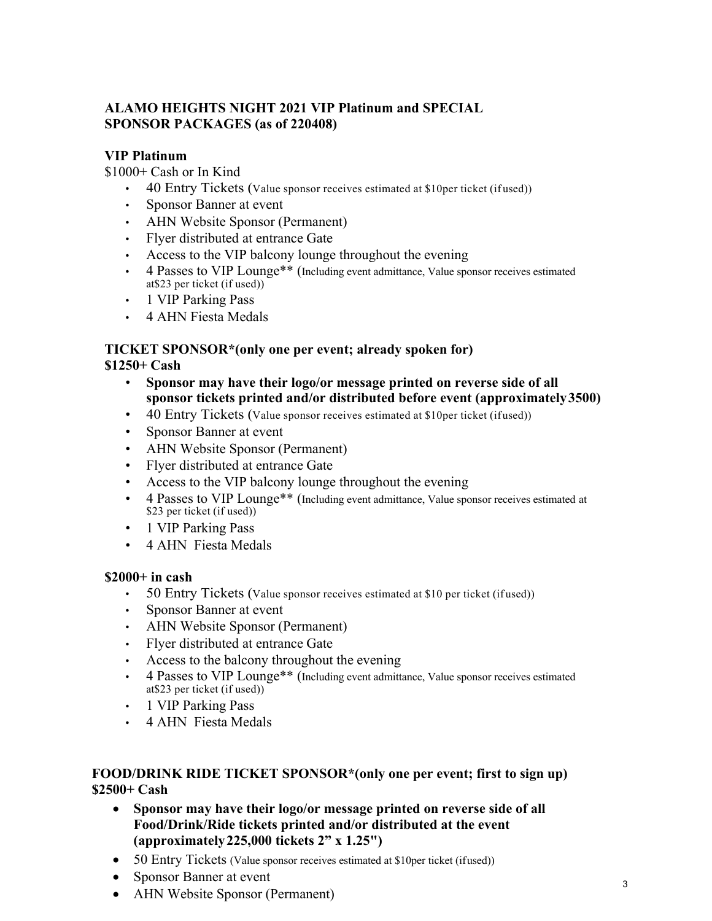# **ALAMO HEIGHTS NIGHT 2021 VIP Platinum and SPECIAL SPONSOR PACKAGES (as of 220408)**

# **VIP Platinum**

\$1000+ Cash or In Kind

- 40 Entry Tickets (Value sponsor receives estimated at \$10 per ticket (if used))
- Sponsor Banner at event
- AHN Website Sponsor (Permanent)
- Flyer distributed at entrance Gate
- Access to the VIP balcony lounge throughout the evening
- 4 Passes to VIP Lounge\*\* (Including event admittance, Value sponsor receives estimated at\$23 per ticket (if used))
- 1 VIP Parking Pass
- 4 AHN Fiesta Medals

#### **TICKET SPONSOR\*(only one per event; already spoken for) \$1250+ Cash**

- **Sponsor may have their logo/or message printed on reverse side of all sponsor tickets printed and/or distributed before event (approximately 3500)**
- 40 Entry Tickets (Value sponsor receives estimated at \$10 per ticket (ifused))
- Sponsor Banner at event
- AHN Website Sponsor (Permanent)
- Flyer distributed at entrance Gate
- Access to the VIP balcony lounge throughout the evening
- 4 Passes to VIP Lounge\*\* (Including event admittance, Value sponsor receives estimated at \$23 per ticket (if used))
- 1 VIP Parking Pass
- 4 AHN Fiesta Medals

#### **\$2000+ in cash**

- 50 Entry Tickets (Value sponsor receives estimated at \$10 per ticket (if used))
- Sponsor Banner at event
- AHN Website Sponsor (Permanent)
- Flyer distributed at entrance Gate
- Access to the balcony throughout the evening
- 4 Passes to VIP Lounge\*\* (Including event admittance, Value sponsor receives estimated at\$23 per ticket (if used))
- 1 VIP Parking Pass
- 4 AHN Fiesta Medals

## **FOOD/DRINK RIDE TICKET SPONSOR\*(only one per event; first to sign up) \$2500+ Cash**

- **Sponsor may have their logo/or message printed on reverse side of all Food/Drink/Ride tickets printed and/or distributed at the event (approximately 225,000 tickets 2" x 1.25")**
- 50 Entry Tickets (Value sponsor receives estimated at \$10 per ticket (if used))
- Sponsor Banner at event
- AHN Website Sponsor (Permanent)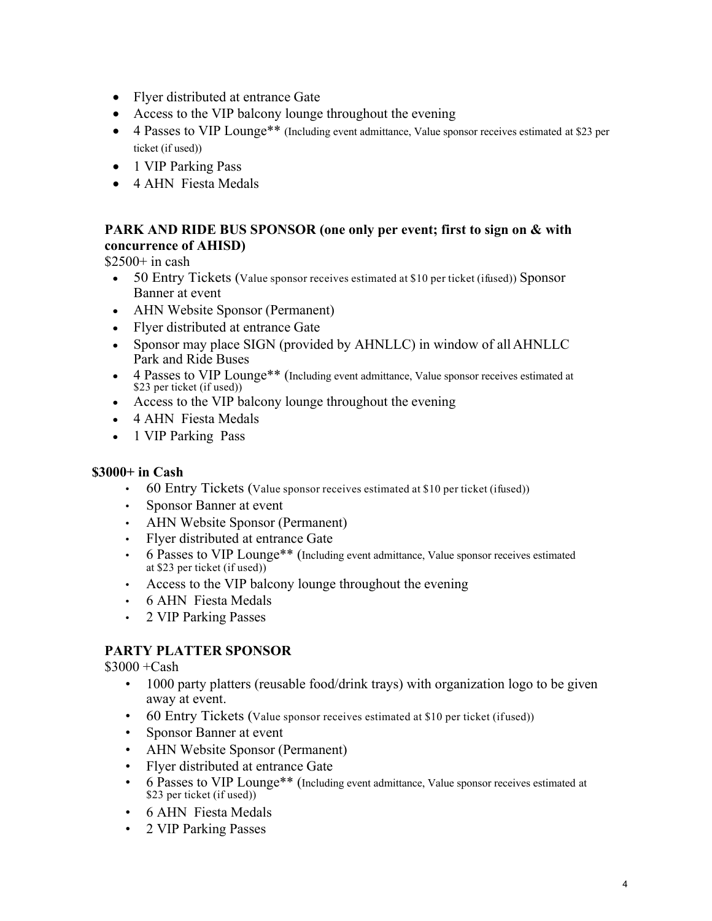- Flyer distributed at entrance Gate
- Access to the VIP balcony lounge throughout the evening
- 4 Passes to VIP Lounge<sup>\*\*</sup> (Including event admittance, Value sponsor receives estimated at \$23 per ticket (if used))
- 1 VIP Parking Pass
- 4 AHN Fiesta Medals

# **PARK AND RIDE BUS SPONSOR (one only per event; first to sign on & with concurrence of AHISD)**

 $$2500+$  in cash

- 50 Entry Tickets (Value sponsor receives estimated at \$10 per ticket (ifused)) Sponsor Banner at event
- AHN Website Sponsor (Permanent)
- Flyer distributed at entrance Gate
- Sponsor may place SIGN (provided by AHNLLC) in window of all AHNLLC Park and Ride Buses
- 4 Passes to VIP Lounge\*\* (Including event admittance, Value sponsor receives estimated at \$23 per ticket (if used))
- Access to the VIP balcony lounge throughout the evening
- 4 AHN Fiesta Medals
- 1 VIP Parking Pass

#### **\$3000+ in Cash**

- 60 Entry Tickets (Value sponsor receives estimated at \$10 per ticket (ifused))
- Sponsor Banner at event
- AHN Website Sponsor (Permanent)
- Flyer distributed at entrance Gate
- 6 Passes to VIP Lounge\*\* (Including event admittance, Value sponsor receives estimated at \$23 per ticket (if used))
- Access to the VIP balcony lounge throughout the evening
- 6 AHN Fiesta Medals
- 2 VIP Parking Passes

## **PARTY PLATTER SPONSOR**

 $$3000 + Cash$ 

- 1000 party platters (reusable food/drink trays) with organization logo to be given away at event.
- 60 Entry Tickets (Value sponsor receives estimated at \$10 per ticket (ifused))
- Sponsor Banner at event
- AHN Website Sponsor (Permanent)
- Flyer distributed at entrance Gate
- 6 Passes to VIP Lounge<sup>\*\*</sup> (Including event admittance, Value sponsor receives estimated at \$23 per ticket (if used))
- 6 AHN Fiesta Medals
- 2 VIP Parking Passes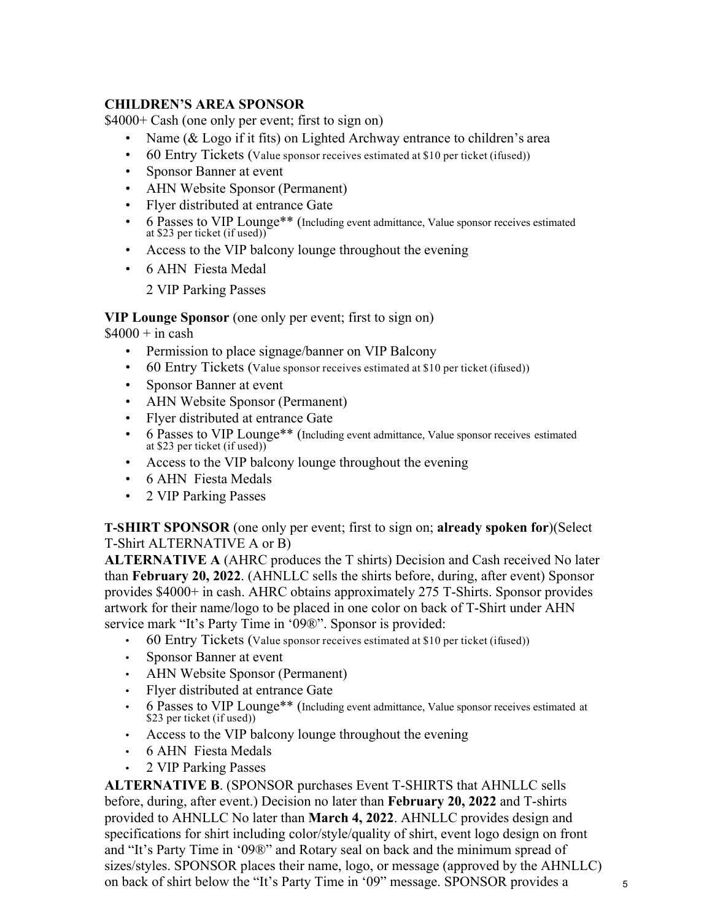## **CHILDREN'S AREA SPONSOR**

\$4000+ Cash (one only per event; first to sign on)

- Name (& Logo if it fits) on Lighted Archway entrance to children's area
- 60 Entry Tickets (Value sponsor receives estimated at \$10 per ticket (ifused))
- Sponsor Banner at event
- AHN Website Sponsor (Permanent)
- Flyer distributed at entrance Gate
- 6 Passes to VIP Lounge\*\* (Including event admittance, Value sponsor receives estimated at \$23 per ticket (if used))
- Access to the VIP balcony lounge throughout the evening
- 6 AHN Fiesta Medal

2 VIP Parking Passes

## **VIP Lounge Sponsor** (one only per event; first to sign on)

 $$4000 + in cash$ 

- Permission to place signage/banner on VIP Balcony
- 60 Entry Tickets (Value sponsor receives estimated at \$10 per ticket (ifused))
- Sponsor Banner at event
- AHN Website Sponsor (Permanent)
- Flyer distributed at entrance Gate
- 6 Passes to VIP Lounge\*\* (Including event admittance, Value sponsor receives estimated at \$23 per ticket (if used))
- Access to the VIP balcony lounge throughout the evening
- 6 AHN Fiesta Medals
- 2 VIP Parking Passes

**T-SHIRT SPONSOR** (one only per event; first to sign on; **already spoken for**)(Select T-Shirt ALTERNATIVE A or B)

**ALTERNATIVE A** (AHRC produces the T shirts) Decision and Cash received No later than **February 20, 2022**. (AHNLLC sells the shirts before, during, after event) Sponsor provides \$4000+ in cash. AHRC obtains approximately 275 T-Shirts. Sponsor provides artwork for their name/logo to be placed in one color on back of T-Shirt under AHN service mark "It's Party Time in '09®". Sponsor is provided:

- $\cdot$  60 Entry Tickets (Value sponsor receives estimated at \$10 per ticket (ifused))
- Sponsor Banner at event
- AHN Website Sponsor (Permanent)
- Flyer distributed at entrance Gate
- 6 Passes to VIP Lounge\*\* (Including event admittance, Value sponsor receives estimated at \$23 per ticket (if used))
- Access to the VIP balcony lounge throughout the evening
- 6 AHN Fiesta Medals
- 2 VIP Parking Passes

**ALTERNATIVE B**. (SPONSOR purchases Event T-SHIRTS that AHNLLC sells before, during, after event.) Decision no later than **February 20, 2022** and T-shirts provided to AHNLLC No later than **March 4, 2022**. AHNLLC provides design and specifications for shirt including color/style/quality of shirt, event logo design on front and "It's Party Time in '09®" and Rotary seal on back and the minimum spread of sizes/styles. SPONSOR places their name, logo, or message (approved by the AHNLLC) on back of shirt below the "It's Party Time in '09" message. SPONSOR provides a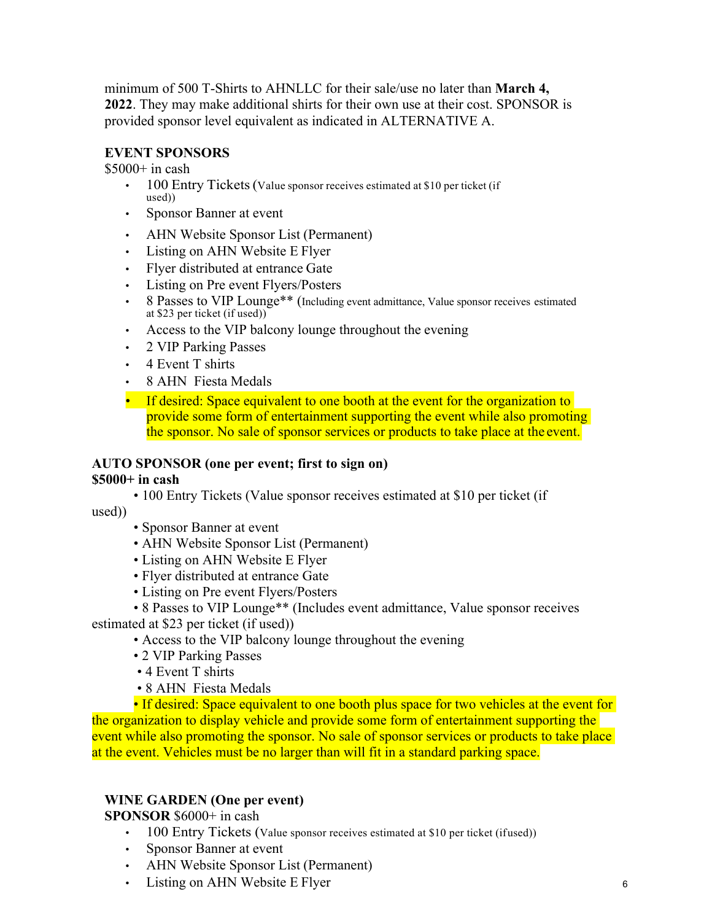minimum of 500 T-Shirts to AHNLLC for their sale/use no later than **March 4, 2022**. They may make additional shirts for their own use at their cost. SPONSOR is provided sponsor level equivalent as indicated in ALTERNATIVE A.

## **EVENT SPONSORS**

 $$5000+$  in cash

- 100 Entry Tickets (Value sponsor receives estimated at \$10 per ticket (if used))
- Sponsor Banner at event
- AHN Website Sponsor List (Permanent)
- Listing on AHN Website E Flyer
- Flyer distributed at entrance Gate
- Listing on Pre event Flyers/Posters
- 8 Passes to VIP Lounge\*\* (Including event admittance, Value sponsor receives estimated at \$23 per ticket (if used))
- Access to the VIP balcony lounge throughout the evening
- 2 VIP Parking Passes
- 4 Event T shirts
- 8 AHN Fiesta Medals
- If desired: Space equivalent to one booth at the event for the organization to provide some form of entertainment supporting the event while also promoting the sponsor. No sale of sponsor services or products to take place at the event.

## **AUTO SPONSOR (one per event; first to sign on)**

#### **\$5000+ in cash**

• 100 Entry Tickets (Value sponsor receives estimated at \$10 per ticket (if

used))

- Sponsor Banner at event
- AHN Website Sponsor List (Permanent)
- Listing on AHN Website E Flyer
- Flyer distributed at entrance Gate
- Listing on Pre event Flyers/Posters
- 8 Passes to VIP Lounge\*\* (Includes event admittance, Value sponsor receives

estimated at \$23 per ticket (if used))

- Access to the VIP balcony lounge throughout the evening
- 2 VIP Parking Passes
- 4 Event T shirts
- 8 AHN Fiesta Medals

• If desired: Space equivalent to one booth plus space for two vehicles at the event for the organization to display vehicle and provide some form of entertainment supporting the event while also promoting the sponsor. No sale of sponsor services or products to take place at the event. Vehicles must be no larger than will fit in a standard parking space.

#### **WINE GARDEN (One per event)**

**SPONSOR** \$6000+ in cash

- 100 Entry Tickets (Value sponsor receives estimated at \$10 per ticket (ifused))
- Sponsor Banner at event
- AHN Website Sponsor List (Permanent)
- Listing on AHN Website E Flyer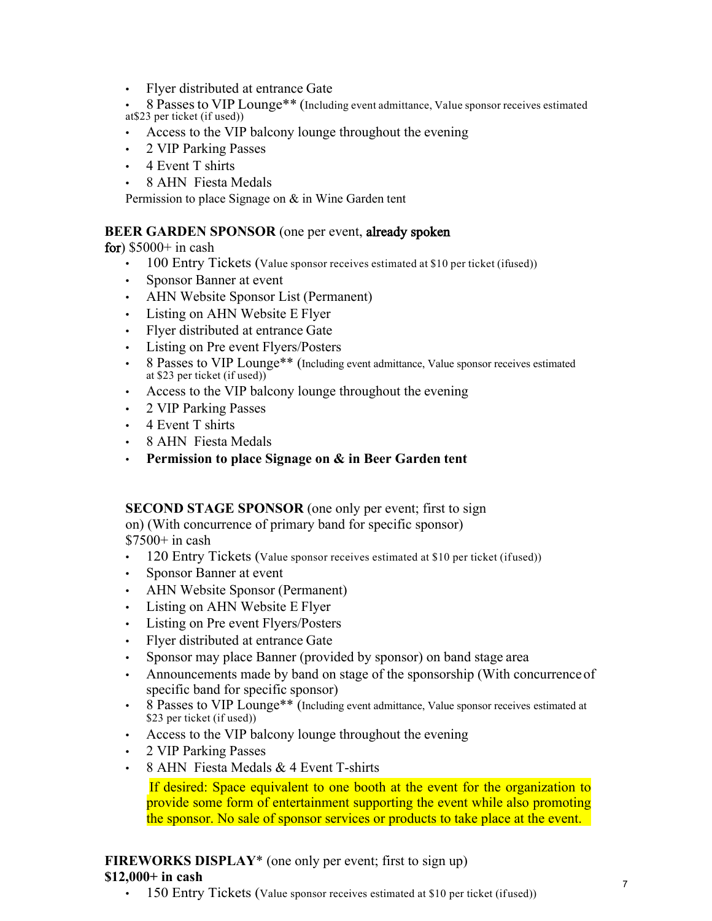• Flyer distributed at entrance Gate

• 8 Passesto VIP Lounge\*\* (Including event admittance, Value sponsor receives estimated at\$23 per ticket (if used))

- Access to the VIP balcony lounge throughout the evening
- 2 VIP Parking Passes
- 4 Event T shirts
- 8 AHN Fiesta Medals

Permission to place Signage on & in Wine Garden tent

#### **BEER GARDEN SPONSOR** (one per event, already spoken

for)  $$5000+$  in cash

- $\cdot$  100 Entry Tickets (Value sponsor receives estimated at \$10 per ticket (ifused))
- Sponsor Banner at event
- AHN Website Sponsor List (Permanent)
- Listing on AHN Website E Flyer
- Flyer distributed at entrance Gate
- Listing on Pre event Flyers/Posters
- 8 Passes to VIP Lounge<sup>\*\*</sup> (Including event admittance, Value sponsor receives estimated at \$23 per ticket (if used))
- Access to the VIP balcony lounge throughout the evening
- 2 VIP Parking Passes
- 4 Event T shirts
- 8 AHN Fiesta Medals
- **Permission to place Signage on & in Beer Garden tent**

# **SECOND STAGE SPONSOR** (one only per event; first to sign

on) (With concurrence of primary band for specific sponsor)  $$7500+$  in cash

- 120 Entry Tickets (Value sponsor receives estimated at \$10 per ticket (ifused))
- Sponsor Banner at event
- AHN Website Sponsor (Permanent)
- Listing on AHN Website E Flyer
- Listing on Pre event Flyers/Posters
- Flyer distributed at entrance Gate
- Sponsor may place Banner (provided by sponsor) on band stage area
- Announcements made by band on stage of the sponsorship (With concurrence of specific band for specific sponsor)
- 8 Passes to VIP Lounge<sup>\*\*</sup> (Including event admittance, Value sponsor receives estimated at \$23 per ticket (if used))
- Access to the VIP balcony lounge throughout the evening
- 2 VIP Parking Passes
- 8 AHN Fiesta Medals & 4 Event T-shirts

 If desired: Space equivalent to one booth at the event for the organization to provide some form of entertainment supporting the event while also promoting the sponsor. No sale of sponsor services or products to take place at the event.

# **FIREWORKS DISPLAY**<sup>\*</sup> (one only per event; first to sign up)

#### **\$12,000+ in cash**

 $\cdot$  150 Entry Tickets (Value sponsor receives estimated at \$10 per ticket (ifused))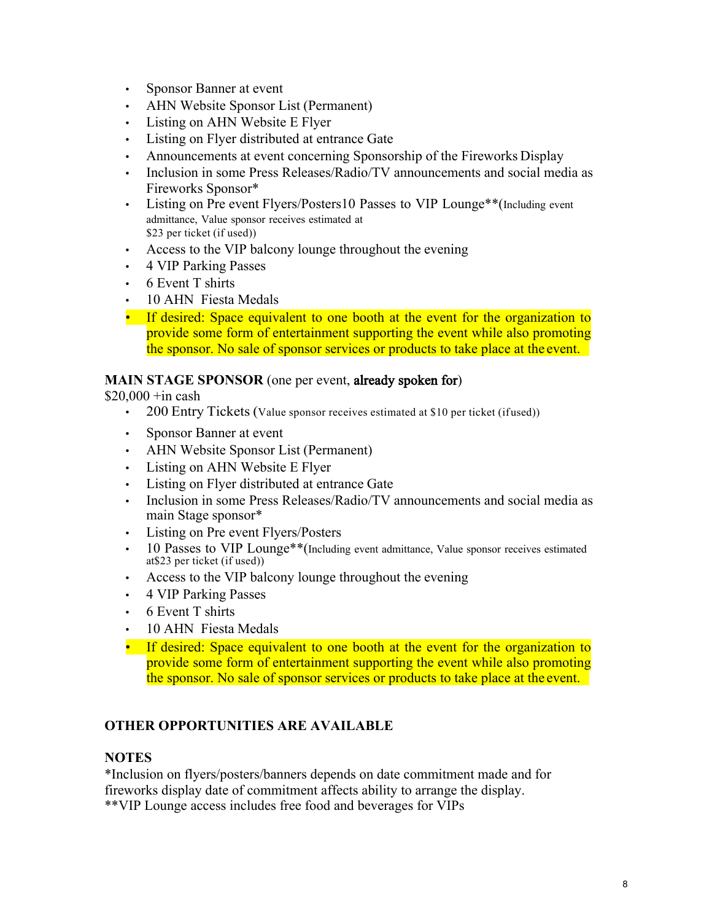- Sponsor Banner at event
- AHN Website Sponsor List (Permanent)
- Listing on AHN Website E Flyer
- Listing on Flyer distributed at entrance Gate
- Announcements at event concerning Sponsorship of the Fireworks Display
- Inclusion in some Press Releases/Radio/TV announcements and social media as Fireworks Sponsor\*
- Listing on Pre event Flyers/Posters10 Passes to VIP Lounge\*\*(Including event admittance, Value sponsor receives estimated at \$23 per ticket (if used))
- Access to the VIP balcony lounge throughout the evening
- 4 VIP Parking Passes
- 6 Event T shirts
- 10 AHN Fiesta Medals
- If desired: Space equivalent to one booth at the event for the organization to provide some form of entertainment supporting the event while also promoting the sponsor. No sale of sponsor services or products to take place at the event.

#### **MAIN STAGE SPONSOR** (one per event, already spoken for)

 $$20,000 + in cash$ 

- 200 Entry Tickets (Value sponsor receives estimated at \$10 per ticket (ifused))
- Sponsor Banner at event
- AHN Website Sponsor List (Permanent)
- Listing on AHN Website E Flyer
- Listing on Flyer distributed at entrance Gate
- Inclusion in some Press Releases/Radio/TV announcements and social media as main Stage sponsor\*
- Listing on Pre event Flyers/Posters
- 10 Passes to VIP Lounge<sup>\*\*</sup>(Including event admittance, Value sponsor receives estimated at\$23 per ticket (if used))
- Access to the VIP balcony lounge throughout the evening
- 4 VIP Parking Passes
- 6 Event T shirts
- 10 AHN Fiesta Medals
- If desired: Space equivalent to one booth at the event for the organization to provide some form of entertainment supporting the event while also promoting the sponsor. No sale of sponsor services or products to take place at the event.

## **OTHER OPPORTUNITIES ARE AVAILABLE**

#### **NOTES**

\*Inclusion on flyers/posters/banners depends on date commitment made and for fireworks display date of commitment affects ability to arrange the display. \*\*VIP Lounge access includes free food and beverages for VIPs